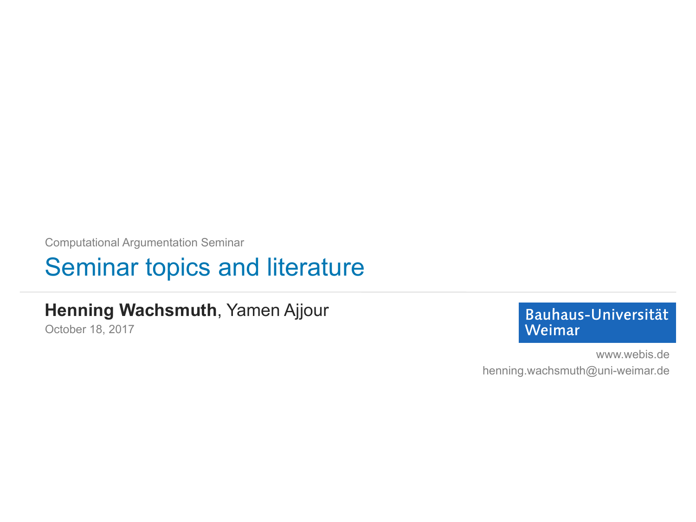Computational Argumentation Seminar

# Seminar topics and literature

#### **Henning Wachsmuth**, Yamen Ajjour

October 18, 2017

Bauhaus-Universität Weimar

www.webis.de henning.wachsmuth@uni-weimar.de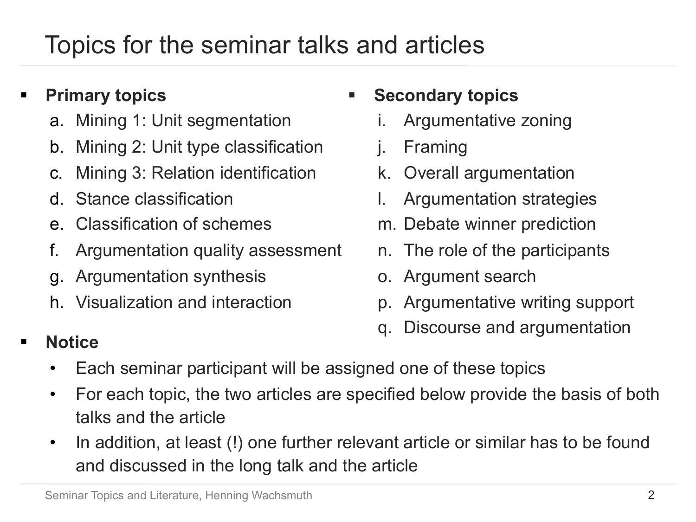# Topics for the seminar talks and articles

# § **Primary topics**

- a. Mining 1: Unit segmentation
- b. Mining 2: Unit type classification
- c. Mining 3: Relation identification
- d. Stance classification
- e. Classification of schemes
- f. Argumentation quality assessment
- g. Argumentation synthesis
- h. Visualization and interaction

# § **Secondary topics**

- i. Argumentative zoning
- j. Framing
- k. Overall argumentation
- l. Argumentation strategies
- m. Debate winner prediction
- n. The role of the participants
- o. Argument search
- p. Argumentative writing support
- q. Discourse and argumentation
- § **Notice** 
	- Each seminar participant will be assigned one of these topics
	- For each topic, the two articles are specified below provide the basis of both talks and the article
	- In addition, at least (!) one further relevant article or similar has to be found and discussed in the long talk and the article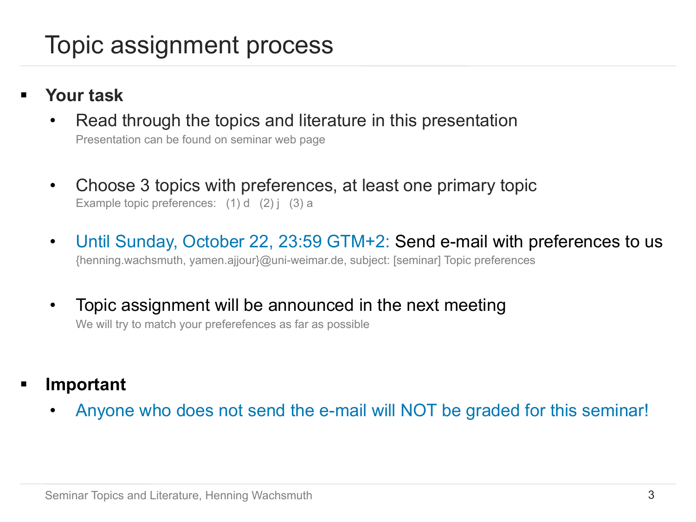# Topic assignment process

- § **Your task** 
	- Read through the topics and literature in this presentation Presentation can be found on seminar web page
	- Choose 3 topics with preferences, at least one primary topic Example topic preferences:  $(1) d$   $(2) j$   $(3) a$
	- Until Sunday, October 22, 23:59 GTM+2: Send e-mail with preferences to us {henning.wachsmuth, yamen.ajjour}@uni-weimar.de, subject: [seminar] Topic preferences
	- Topic assignment will be announced in the next meeting We will try to match your preferefences as far as possible
- § **Important** 
	- Anyone who does not send the e-mail will NOT be graded for this seminar!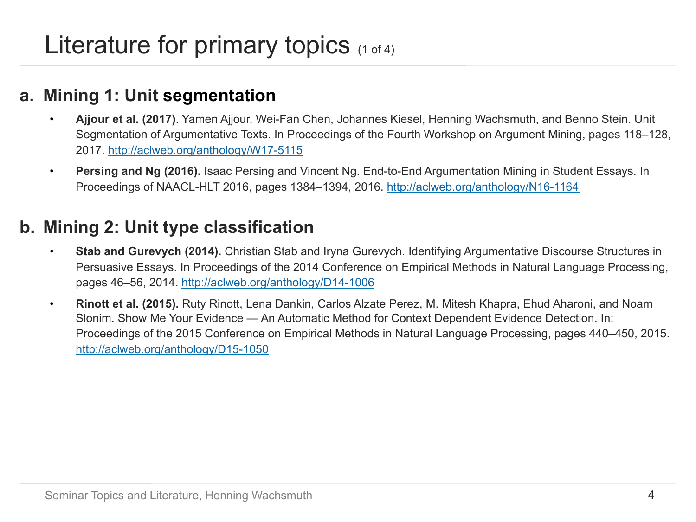# **a. Mining 1: Unit segmentation**

- **Ajjour et al. (2017)**. Yamen Ajjour, Wei-Fan Chen, Johannes Kiesel, Henning Wachsmuth, and Benno Stein. Unit Segmentation of Argumentative Texts. In Proceedings of the Fourth Workshop on Argument Mining, pages 118–128, 2017. http://aclweb.org/anthology/W17-5115
- **Persing and Ng (2016).** Isaac Persing and Vincent Ng. End-to-End Argumentation Mining in Student Essays. In Proceedings of NAACL-HLT 2016, pages 1384–1394, 2016. http://aclweb.org/anthology/N16-1164

# **b. Mining 2: Unit type classification**

- **Stab and Gurevych (2014).** Christian Stab and Iryna Gurevych. Identifying Argumentative Discourse Structures in Persuasive Essays. In Proceedings of the 2014 Conference on Empirical Methods in Natural Language Processing, pages 46–56, 2014. http://aclweb.org/anthology/D14-1006
- **Rinott et al. (2015).** Ruty Rinott, Lena Dankin, Carlos Alzate Perez, M. Mitesh Khapra, Ehud Aharoni, and Noam Slonim. Show Me Your Evidence — An Automatic Method for Context Dependent Evidence Detection. In: Proceedings of the 2015 Conference on Empirical Methods in Natural Language Processing, pages 440–450, 2015. http://aclweb.org/anthology/D15-1050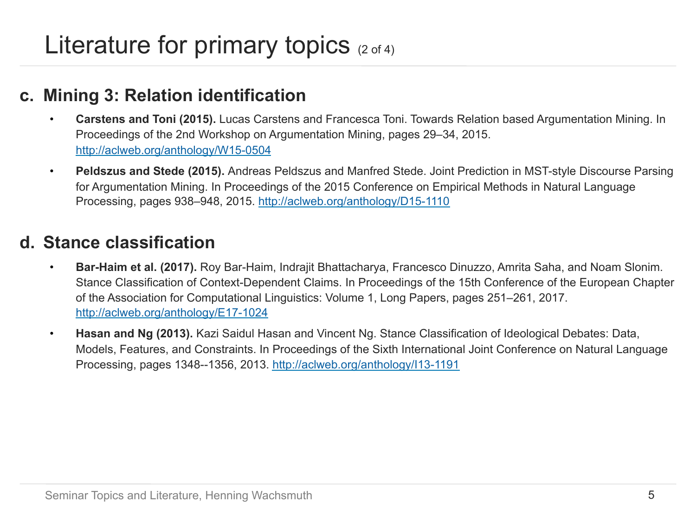### **c. Mining 3: Relation identification**

- **Carstens and Toni (2015).** Lucas Carstens and Francesca Toni. Towards Relation based Argumentation Mining. In Proceedings of the 2nd Workshop on Argumentation Mining, pages 29–34, 2015. http://aclweb.org/anthology/W15-0504
- **Peldszus and Stede (2015).** Andreas Peldszus and Manfred Stede. Joint Prediction in MST-style Discourse Parsing for Argumentation Mining. In Proceedings of the 2015 Conference on Empirical Methods in Natural Language Processing, pages 938–948, 2015. http://aclweb.org/anthology/D15-1110

### **d. Stance classification**

- **Bar-Haim et al. (2017).** Roy Bar-Haim, Indrajit Bhattacharya, Francesco Dinuzzo, Amrita Saha, and Noam Slonim. Stance Classification of Context-Dependent Claims. In Proceedings of the 15th Conference of the European Chapter of the Association for Computational Linguistics: Volume 1, Long Papers, pages 251–261, 2017. http://aclweb.org/anthology/E17-1024
- **Hasan and Ng (2013).** Kazi Saidul Hasan and Vincent Ng. Stance Classification of Ideological Debates: Data, Models, Features, and Constraints. In Proceedings of the Sixth International Joint Conference on Natural Language Processing, pages 1348--1356, 2013. http://aclweb.org/anthology/I13-1191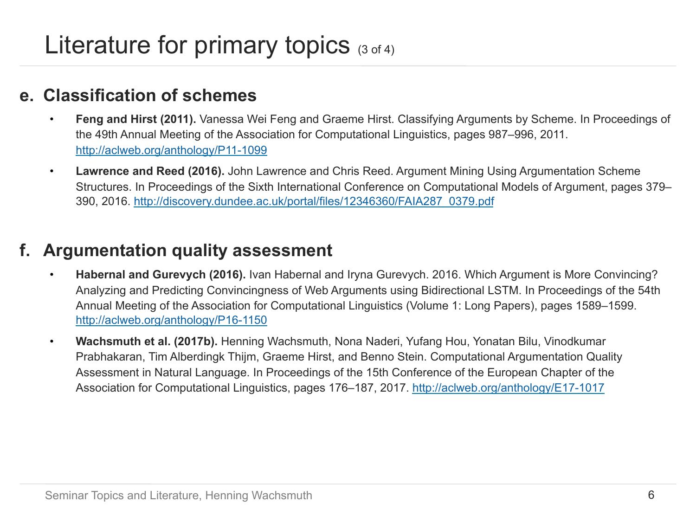### **e. Classification of schemes**

- **Feng and Hirst (2011).** Vanessa Wei Feng and Graeme Hirst. Classifying Arguments by Scheme. In Proceedings of the 49th Annual Meeting of the Association for Computational Linguistics, pages 987–996, 2011. http://aclweb.org/anthology/P11-1099
- **Lawrence and Reed (2016).** John Lawrence and Chris Reed. Argument Mining Using Argumentation Scheme Structures. In Proceedings of the Sixth International Conference on Computational Models of Argument, pages 379– 390, 2016. http://discovery.dundee.ac.uk/portal/files/12346360/FAIA287\_0379.pdf

#### **f. Argumentation quality assessment**

- **Habernal and Gurevych (2016).** Ivan Habernal and Iryna Gurevych. 2016. Which Argument is More Convincing? Analyzing and Predicting Convincingness of Web Arguments using Bidirectional LSTM. In Proceedings of the 54th Annual Meeting of the Association for Computational Linguistics (Volume 1: Long Papers), pages 1589–1599. http://aclweb.org/anthology/P16-1150
- **Wachsmuth et al. (2017b).** Henning Wachsmuth, Nona Naderi, Yufang Hou, Yonatan Bilu, Vinodkumar Prabhakaran, Tim Alberdingk Thijm, Graeme Hirst, and Benno Stein. Computational Argumentation Quality Assessment in Natural Language. In Proceedings of the 15th Conference of the European Chapter of the Association for Computational Linguistics, pages 176–187, 2017. http://aclweb.org/anthology/E17-1017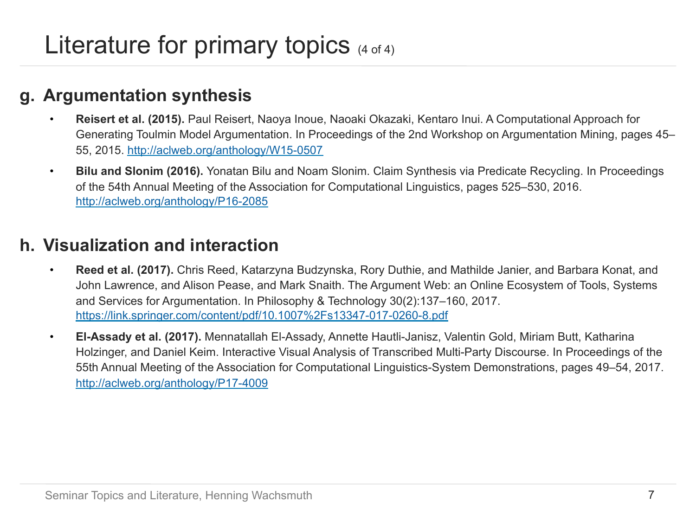## **g. Argumentation synthesis**

- **Reisert et al. (2015).** Paul Reisert, Naoya Inoue, Naoaki Okazaki, Kentaro Inui. A Computational Approach for Generating Toulmin Model Argumentation. In Proceedings of the 2nd Workshop on Argumentation Mining, pages 45– 55, 2015. http://aclweb.org/anthology/W15-0507
- **Bilu and Slonim (2016).** Yonatan Bilu and Noam Slonim. Claim Synthesis via Predicate Recycling. In Proceedings of the 54th Annual Meeting of the Association for Computational Linguistics, pages 525–530, 2016. http://aclweb.org/anthology/P16-2085

#### **h. Visualization and interaction**

- **Reed et al. (2017).** Chris Reed, Katarzyna Budzynska, Rory Duthie, and Mathilde Janier, and Barbara Konat, and John Lawrence, and Alison Pease, and Mark Snaith. The Argument Web: an Online Ecosystem of Tools, Systems and Services for Argumentation. In Philosophy & Technology 30(2):137–160, 2017. https://link.springer.com/content/pdf/10.1007%2Fs13347-017-0260-8.pdf
- **El-Assady et al. (2017).** Mennatallah El-Assady, Annette Hautli-Janisz, Valentin Gold, Miriam Butt, Katharina Holzinger, and Daniel Keim. Interactive Visual Analysis of Transcribed Multi-Party Discourse. In Proceedings of the 55th Annual Meeting of the Association for Computational Linguistics-System Demonstrations, pages 49–54, 2017. http://aclweb.org/anthology/P17-4009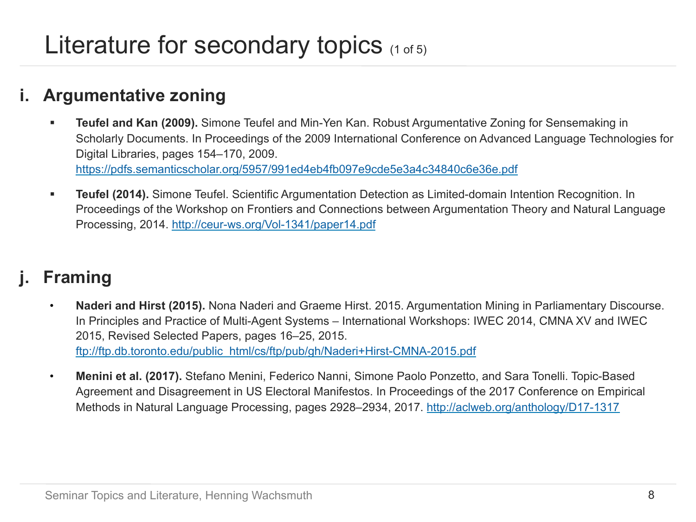# **i. Argumentative zoning**

- **Teufel and Kan (2009).** Simone Teufel and Min-Yen Kan. Robust Argumentative Zoning for Sensemaking in Scholarly Documents. In Proceedings of the 2009 International Conference on Advanced Language Technologies for Digital Libraries, pages 154–170, 2009. https://pdfs.semanticscholar.org/5957/991ed4eb4fb097e9cde5e3a4c34840c6e36e.pdf
- § **Teufel (2014).** Simone Teufel. Scientific Argumentation Detection as Limited-domain Intention Recognition. In Proceedings of the Workshop on Frontiers and Connections between Argumentation Theory and Natural Language Processing, 2014. http://ceur-ws.org/Vol-1341/paper14.pdf

# **j. Framing**

- **Naderi and Hirst (2015).** Nona Naderi and Graeme Hirst. 2015. Argumentation Mining in Parliamentary Discourse. In Principles and Practice of Multi-Agent Systems – International Workshops: IWEC 2014, CMNA XV and IWEC 2015, Revised Selected Papers, pages 16–25, 2015. ftp://ftp.db.toronto.edu/public\_html/cs/ftp/pub/gh/Naderi+Hirst-CMNA-2015.pdf
- **Menini et al. (2017).** Stefano Menini, Federico Nanni, Simone Paolo Ponzetto, and Sara Tonelli. Topic-Based Agreement and Disagreement in US Electoral Manifestos. In Proceedings of the 2017 Conference on Empirical Methods in Natural Language Processing, pages 2928–2934, 2017. http://aclweb.org/anthology/D17-1317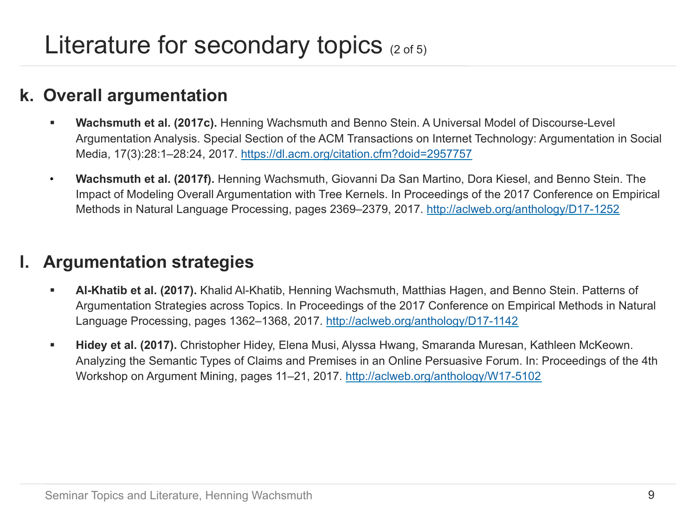# **k. Overall argumentation**

- § **Wachsmuth et al. (2017c).** Henning Wachsmuth and Benno Stein. A Universal Model of Discourse-Level Argumentation Analysis. Special Section of the ACM Transactions on Internet Technology: Argumentation in Social Media, 17(3):28:1–28:24, 2017. https://dl.acm.org/citation.cfm?doid=2957757
- **Wachsmuth et al. (2017f).** Henning Wachsmuth, Giovanni Da San Martino, Dora Kiesel, and Benno Stein. The Impact of Modeling Overall Argumentation with Tree Kernels. In Proceedings of the 2017 Conference on Empirical Methods in Natural Language Processing, pages 2369–2379, 2017. http://aclweb.org/anthology/D17-1252

#### **l. Argumentation strategies**

- § **Al-Khatib et al. (2017).** Khalid Al-Khatib, Henning Wachsmuth, Matthias Hagen, and Benno Stein. Patterns of Argumentation Strategies across Topics. In Proceedings of the 2017 Conference on Empirical Methods in Natural Language Processing, pages 1362–1368, 2017. http://aclweb.org/anthology/D17-1142
- **Hidey et al. (2017).** Christopher Hidey, Elena Musi, Alyssa Hwang, Smaranda Muresan, Kathleen McKeown. Analyzing the Semantic Types of Claims and Premises in an Online Persuasive Forum. In: Proceedings of the 4th Workshop on Argument Mining, pages 11–21, 2017. http://aclweb.org/anthology/W17-5102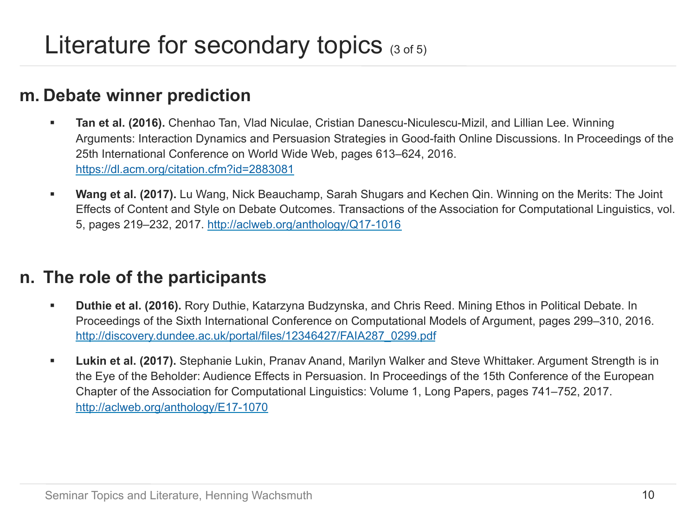#### **m. Debate winner prediction**

- **Tan et al. (2016).** Chenhao Tan, Vlad Niculae, Cristian Danescu-Niculescu-Mizil, and Lillian Lee. Winning Arguments: Interaction Dynamics and Persuasion Strategies in Good-faith Online Discussions. In Proceedings of the 25th International Conference on World Wide Web, pages 613–624, 2016. https://dl.acm.org/citation.cfm?id=2883081
- **Wang et al. (2017).** Lu Wang, Nick Beauchamp, Sarah Shugars and Kechen Qin. Winning on the Merits: The Joint Effects of Content and Style on Debate Outcomes. Transactions of the Association for Computational Linguistics, vol. 5, pages 219–232, 2017. http://aclweb.org/anthology/Q17-1016

#### **n. The role of the participants**

- **Duthie et al. (2016).** Rory Duthie, Katarzyna Budzynska, and Chris Reed. Mining Ethos in Political Debate. In Proceedings of the Sixth International Conference on Computational Models of Argument, pages 299–310, 2016. http://discovery.dundee.ac.uk/portal/files/12346427/FAIA287\_0299.pdf
- § **Lukin et al. (2017).** Stephanie Lukin, Pranav Anand, Marilyn Walker and Steve Whittaker. Argument Strength is in the Eye of the Beholder: Audience Effects in Persuasion. In Proceedings of the 15th Conference of the European Chapter of the Association for Computational Linguistics: Volume 1, Long Papers, pages 741–752, 2017. http://aclweb.org/anthology/E17-1070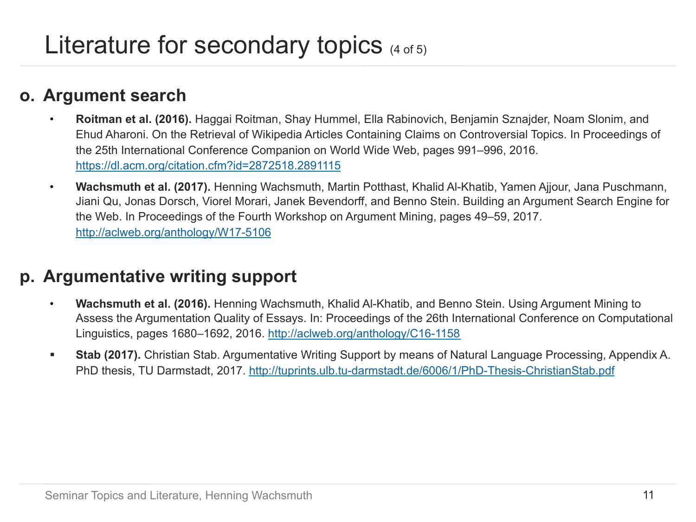#### **o. Argument search**

- **Roitman et al. (2016).** Haggai Roitman, Shay Hummel, Ella Rabinovich, Benjamin Sznajder, Noam Slonim, and Ehud Aharoni. On the Retrieval of Wikipedia Articles Containing Claims on Controversial Topics. In Proceedings of the 25th International Conference Companion on World Wide Web, pages 991–996, 2016. https://dl.acm.org/citation.cfm?id=2872518.2891115
- **Wachsmuth et al. (2017).** Henning Wachsmuth, Martin Potthast, Khalid Al-Khatib, Yamen Ajjour, Jana Puschmann, Jiani Qu, Jonas Dorsch, Viorel Morari, Janek Bevendorff, and Benno Stein. Building an Argument Search Engine for the Web. In Proceedings of the Fourth Workshop on Argument Mining, pages 49–59, 2017. http://aclweb.org/anthology/W17-5106

## **p. Argumentative writing support**

- **Wachsmuth et al. (2016).** Henning Wachsmuth, Khalid Al-Khatib, and Benno Stein. Using Argument Mining to Assess the Argumentation Quality of Essays. In: Proceedings of the 26th International Conference on Computational Linguistics, pages 1680–1692, 2016. http://aclweb.org/anthology/C16-1158
- **Stab (2017).** Christian Stab. Argumentative Writing Support by means of Natural Language Processing, Appendix A. PhD thesis, TU Darmstadt, 2017. http://tuprints.ulb.tu-darmstadt.de/6006/1/PhD-Thesis-ChristianStab.pdf